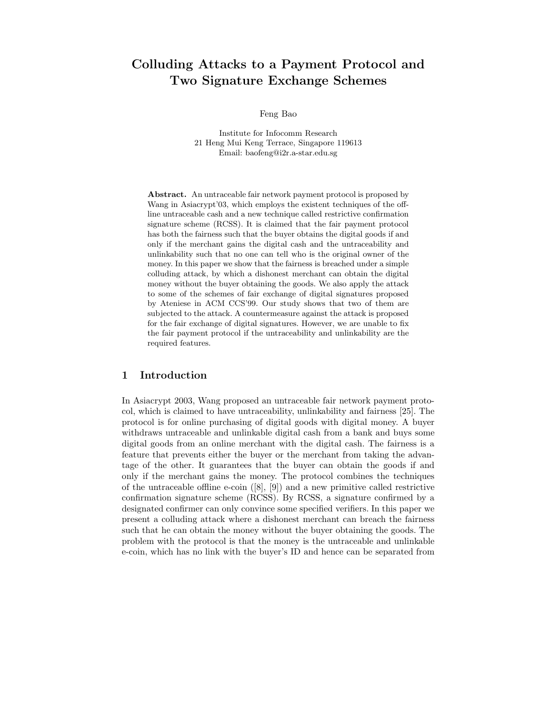# Colluding Attacks to a Payment Protocol and Two Signature Exchange Schemes

Feng Bao

Institute for Infocomm Research 21 Heng Mui Keng Terrace, Singapore 119613 Email: baofeng@i2r.a-star.edu.sg

Abstract. An untraceable fair network payment protocol is proposed by Wang in Asiacrypt'03, which employs the existent techniques of the offline untraceable cash and a new technique called restrictive confirmation signature scheme (RCSS). It is claimed that the fair payment protocol has both the fairness such that the buyer obtains the digital goods if and only if the merchant gains the digital cash and the untraceability and unlinkability such that no one can tell who is the original owner of the money. In this paper we show that the fairness is breached under a simple colluding attack, by which a dishonest merchant can obtain the digital money without the buyer obtaining the goods. We also apply the attack to some of the schemes of fair exchange of digital signatures proposed by Ateniese in ACM CCS'99. Our study shows that two of them are subjected to the attack. A countermeasure against the attack is proposed for the fair exchange of digital signatures. However, we are unable to fix the fair payment protocol if the untraceability and unlinkability are the required features.

# 1 Introduction

In Asiacrypt 2003, Wang proposed an untraceable fair network payment protocol, which is claimed to have untraceability, unlinkability and fairness [25]. The protocol is for online purchasing of digital goods with digital money. A buyer withdraws untraceable and unlinkable digital cash from a bank and buys some digital goods from an online merchant with the digital cash. The fairness is a feature that prevents either the buyer or the merchant from taking the advantage of the other. It guarantees that the buyer can obtain the goods if and only if the merchant gains the money. The protocol combines the techniques of the untraceable offline e-coin ([8], [9]) and a new primitive called restrictive confirmation signature scheme (RCSS). By RCSS, a signature confirmed by a designated confirmer can only convince some specified verifiers. In this paper we present a colluding attack where a dishonest merchant can breach the fairness such that he can obtain the money without the buyer obtaining the goods. The problem with the protocol is that the money is the untraceable and unlinkable e-coin, which has no link with the buyer's ID and hence can be separated from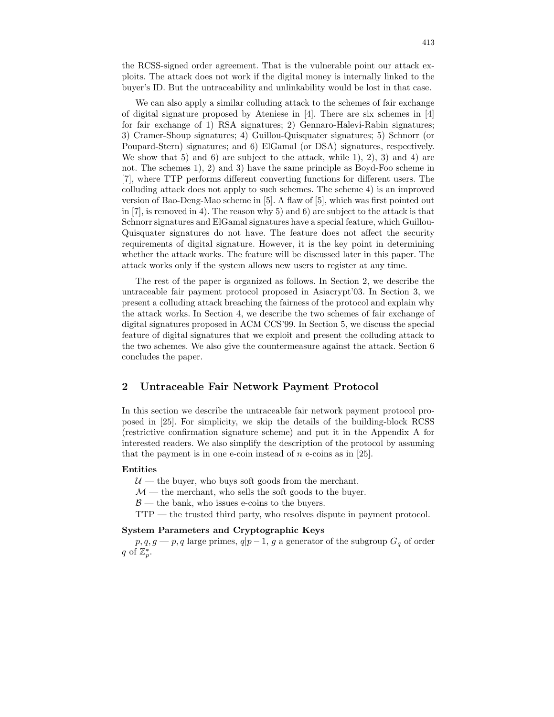the RCSS-signed order agreement. That is the vulnerable point our attack exploits. The attack does not work if the digital money is internally linked to the buyer's ID. But the untraceability and unlinkability would be lost in that case.

We can also apply a similar colluding attack to the schemes of fair exchange of digital signature proposed by Ateniese in [4]. There are six schemes in [4] for fair exchange of 1) RSA signatures; 2) Gennaro-Halevi-Rabin signatures; 3) Cramer-Shoup signatures; 4) Guillou-Quisquater signatures; 5) Schnorr (or Poupard-Stern) signatures; and 6) ElGamal (or DSA) signatures, respectively. We show that 5) and 6) are subject to the attack, while 1, 2, 3) and 4) are not. The schemes 1), 2) and 3) have the same principle as Boyd-Foo scheme in [7], where TTP performs different converting functions for different users. The colluding attack does not apply to such schemes. The scheme 4) is an improved version of Bao-Deng-Mao scheme in [5]. A flaw of [5], which was first pointed out in  $[7]$ , is removed in 4). The reason why 5) and 6) are subject to the attack is that Schnorr signatures and ElGamal signatures have a special feature, which Guillou-Quisquater signatures do not have. The feature does not affect the security requirements of digital signature. However, it is the key point in determining whether the attack works. The feature will be discussed later in this paper. The attack works only if the system allows new users to register at any time.

The rest of the paper is organized as follows. In Section 2, we describe the untraceable fair payment protocol proposed in Asiacrypt'03. In Section 3, we present a colluding attack breaching the fairness of the protocol and explain why the attack works. In Section 4, we describe the two schemes of fair exchange of digital signatures proposed in ACM CCS'99. In Section 5, we discuss the special feature of digital signatures that we exploit and present the colluding attack to the two schemes. We also give the countermeasure against the attack. Section 6 concludes the paper.

# 2 Untraceable Fair Network Payment Protocol

In this section we describe the untraceable fair network payment protocol proposed in [25]. For simplicity, we skip the details of the building-block RCSS (restrictive confirmation signature scheme) and put it in the Appendix A for interested readers. We also simplify the description of the protocol by assuming that the payment is in one e-coin instead of  $n$  e-coins as in [25].

#### Entities

 $U$  — the buyer, who buys soft goods from the merchant.

 $\mathcal{M}$  — the merchant, who sells the soft goods to the buyer.

 $\beta$  — the bank, who issues e-coins to the buyers.

TTP — the trusted third party, who resolves dispute in payment protocol.

# System Parameters and Cryptographic Keys

 $p, q, g \rightarrow p, q$  large primes,  $q|p-1, g$  a generator of the subgroup  $G_q$  of order q of  $\mathbb{Z}_p^*$ .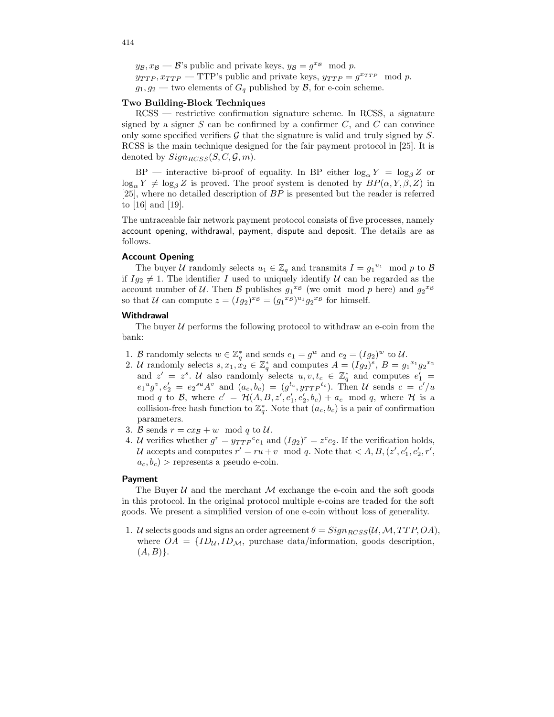$y_{\mathcal{B}}, x_{\mathcal{B}} \longrightarrow \mathcal{B}$ 's public and private keys,  $y_{\mathcal{B}} = g^{x_{\mathcal{B}}} \mod p$ .  $y_{TTP}, x_{TTP}$  — TTP's public and private keys,  $y_{TTP} = g^{x_{TTP}} \mod p$ .  $g_1, g_2$  — two elements of  $G_q$  published by  $\mathcal{B}$ , for e-coin scheme.

### Two Building-Block Techniques

RCSS — restrictive confirmation signature scheme. In RCSS, a signature signed by a signer  $S$  can be confirmed by a confirmer  $C$ , and  $C$  can convince only some specified verifiers  $\mathcal G$  that the signature is valid and truly signed by  $S$ . RCSS is the main technique designed for the fair payment protocol in [25]. It is denoted by  $Sign_{BCSS}(S, C, \mathcal{G}, m)$ .

 $BP$  — interactive bi-proof of equality. In BP either  $\log_{\alpha} Y = \log_{\beta} Z$  or  $\log_{\alpha} Y \neq \log_{\beta} Z$  is proved. The proof system is denoted by  $BP(\alpha, Y, \beta, Z)$  in [25], where no detailed description of BP is presented but the reader is referred to [16] and [19].

The untraceable fair network payment protocol consists of five processes, namely account opening, withdrawal, payment, dispute and deposit. The details are as follows.

### Account Opening

The buyer U randomly selects  $u_1 \in \mathbb{Z}_q$  and transmits  $I = g_1^{u_1} \mod p$  to B if  $Ig_2 \neq 1$ . The identifier I used to uniquely identify U can be regarded as the account number of U. Then B publishes  $g_1{}^{x_B}$  (we omit mod p here) and  $g_2{}^{x_B}$ so that U can compute  $z = (Ig_2)^{x_{\mathcal{B}}} = (g_1{}^{x_{\mathcal{B}}})^{u_1} g_2{}^{x_{\mathcal{B}}}$  for himself.

### **Withdrawal**

The buyer  $U$  performs the following protocol to withdraw an e-coin from the bank:

- 1. B randomly selects  $w \in \mathbb{Z}_q^*$  and sends  $e_1 = g^w$  and  $e_2 = (Ig_2)^w$  to U.
- 2. U randomly selects  $s, x_1, x_2 \in \mathbb{Z}_q^*$  and computes  $A = (Ig_2)^s$ ,  $B = g_1^{x_1}g_2^{x_2}$ and  $z' = z^s$ . U also randomly selects  $u, v, t_c \in \mathbb{Z}_q^*$  and computes  $e'_1$  $e_1{}^ug^v, e'_2 = e_2{}^{su}A^v$  and  $(a_c, b_c) = (g^{t_c}, y_{TTP}^{t_c})$ . Then U sends  $c = c'/u$ mod q to B, where  $c' = \mathcal{H}(A, B, z', e_1', e_2', b_c) + a_c \mod q$ , where  $\mathcal{H}$  is a collision-free hash function to  $\mathbb{Z}_q^*$ . Note that  $(a_c, b_c)$  is a pair of confirmation parameters.
- 3. B sends  $r = cx_B + w \mod q$  to U.
- 4. U verifies whether  $g^r = y_{TTP}^c e_1$  and  $(Ig_2)^r = z^c e_2$ . If the verification holds, U accepts and computes  $r' = ru + v \mod q$ . Note that  $\langle A, B, (z', e'_1, e'_2, r', \ldots) \rangle$  $a_c, b_c$ ) > represents a pseudo e-coin.

#### Payment

The Buyer  $U$  and the merchant  $M$  exchange the e-coin and the soft goods in this protocol. In the original protocol multiple e-coins are traded for the soft goods. We present a simplified version of one e-coin without loss of generality.

1. U selects goods and signs an order agreement  $\theta = Sign_{BCSS}(\mathcal{U},\mathcal{M},TTP,OA)$ , where  $OA = \{ID_{\mathcal{U}}, ID_{\mathcal{M}}, \text{ purchase data/information}, \text{ goods description}, \}$  $(A, B)$ .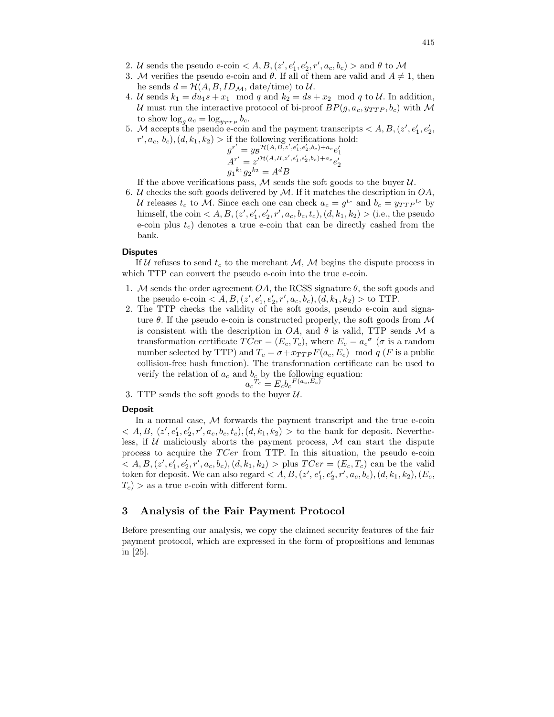- 2. U sends the pseudo e-coin  $\langle A, B, (z', e'_1, e'_2, r', a_c, b_c) \rangle$  and  $\theta$  to M
- 3. M verifies the pseudo e-coin and  $\theta$ . If all of them are valid and  $A \neq 1$ , then he sends  $d = \mathcal{H}(A, B, ID_{\mathcal{M}}, \text{date/time})$  to  $\mathcal{U}.$
- 4. U sends  $k_1 = du_1 s + x_1 \mod q$  and  $k_2 = ds + x_2 \mod q$  to U. In addition, U must run the interactive protocol of bi-proof  $BP(g, a_c, y_{TTP}, b_c)$  with M to show  $\log_g a_c = \log_{y_{TTP}} b_c$ .
- 5. M accepts the pseudo e-coin and the payment transcripts < A, B,(z 0 , e 0 1 , e 0 2 ,  $r', a_c, b_c$ ,  $(d, k_1, k_2) >$  if the following verifications hold:

$$
g^{r'} = y_B \mathcal{H}(A, B, z', e'_1, e'_2, b_c) + a_c e'_1
$$
  

$$
A^{r'} = z'^{\mathcal{H}(A, B, z', e'_1, e'_2, b_c) + a_c} e'_2
$$
  

$$
g_1^{k_1} g_2^{k_2} = A^d B
$$

If the above verifications pass,  $M$  sends the soft goods to the buyer  $U$ .

6.  $U$  checks the soft goods delivered by  $M$ . If it matches the description in  $OA$ , U releases  $t_c$  to M. Since each one can check  $a_c = g^{t_c}$  and  $b_c = y_{TTP}^{t_c}$  by himself, the coin  $\langle A, B, (z', e'_1, e'_2, r', a_c, b_c, t_c), (d, k_1, k_2) \rangle$  (i.e., the pseudo e-coin plus  $t_c$ ) denotes a true e-coin that can be directly cashed from the bank.

#### **Disputes**

If U refuses to send  $t_c$  to the merchant M, M begins the dispute process in which TTP can convert the pseudo e-coin into the true e-coin.

- 1. M sends the order agreement  $OA$ , the RCSS signature  $\theta$ , the soft goods and the pseudo e-coin  $\langle A, B, (z', e'_1, e'_2, r', a_c, b_c), (d, k_1, k_2) \rangle$  to TTP.
- 2. The TTP checks the validity of the soft goods, pseudo e-coin and signature  $\theta$ . If the pseudo e-coin is constructed properly, the soft goods from  $\mathcal M$ is consistent with the description in  $OA$ , and  $\theta$  is valid, TTP sends  $\mathcal M$  a transformation certificate  $T Cer = (E_c, T_c)$ , where  $E_c = a_c^{\sigma}$  ( $\sigma$  is a random number selected by TTP) and  $T_c = \sigma + x_{TTP} F(a_c, E_c) \mod q$  (*F* is a public collision-free hash function). The transformation certificate can be used to verify the relation of  $a_c$  and  $b_c$  by the following equation:  $F(a_c,E_c)$

$$
a_c{}^{T_c} = E_c b_c{}^{F(a_c,E)}
$$

3. TTP sends the soft goods to the buyer  $U$ .

### Deposit

In a normal case,  $M$  forwards the payment transcript and the true e-coin  $< A, B, (z', e'_1, e'_2, r', a_c, b_c, t_c), (d, k_1, k_2) >$  to the bank for deposit. Nevertheless, if  $U$  maliciously aborts the payment process,  $M$  can start the dispute process to acquire the  $T Cer$  from TTP. In this situation, the pseudo e-coin  $< A, B, (z', e'_1, e'_2, r', a_c, b_c), (d, k_1, k_2) > \text{plus } T C e r = (E_c, T_c) \text{ can be the valid}$ token for deposit. We can also regard  $\langle A, B, (z', e'_1, e'_2, r', a_c, b_c), (d, k_1, k_2), (E_c,$  $T_c$ ) > as a true e-coin with different form.

# 3 Analysis of the Fair Payment Protocol

Before presenting our analysis, we copy the claimed security features of the fair payment protocol, which are expressed in the form of propositions and lemmas in [25].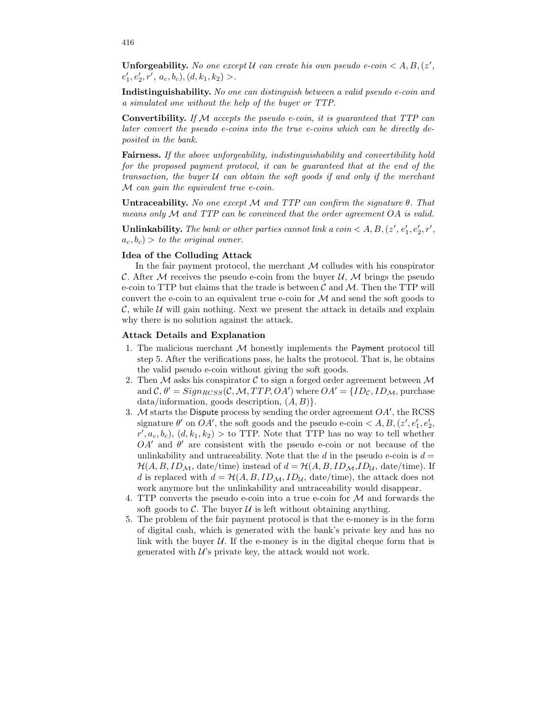**Unforgeability.** No one except U can create his own pseudo e-coin  $\lt A, B, (z', \mathbb{R})$  $e'_1, e'_2, r', a_c, b_c), (d, k_1, k_2) >$ .

Indistinguishability. No one can distinguish between a valid pseudo e-coin and a simulated one without the help of the buyer or TTP.

Convertibility. If  $M$  accepts the pseudo e-coin, it is guaranteed that  $TTP$  can later convert the pseudo e-coins into the true e-coins which can be directly deposited in the bank.

Fairness. If the above unforgeability, indistinguishability and convertibility hold for the proposed payment protocol, it can be guaranteed that at the end of the transaction, the buyer  $U$  can obtain the soft goods if and only if the merchant M can gain the equivalent true e-coin.

Untraceability. No one except  $\mathcal M$  and TTP can confirm the signature  $\theta$ . That means only  $M$  and TTP can be convinced that the order agreement  $OA$  is valid.

Unlinkability. The bank or other parties cannot link a coin  $\lt A, B, (z', e'_1, e'_2, r',$  $a_c, b_c$ ) > to the original owner.

#### Idea of the Colluding Attack

In the fair payment protocol, the merchant  $M$  colludes with his conspirator C. After M receives the pseudo e-coin from the buyer U, M brings the pseudo e-coin to TTP but claims that the trade is between  $\mathcal C$  and  $\mathcal M$ . Then the TTP will convert the e-coin to an equivalent true e-coin for  $\mathcal M$  and send the soft goods to  $\mathcal{C}$ , while  $\mathcal{U}$  will gain nothing. Next we present the attack in details and explain why there is no solution against the attack.

### Attack Details and Explanation

- 1. The malicious merchant M honestly implements the Payment protocol till step 5. After the verifications pass, he halts the protocol. That is, he obtains the valid pseudo e-coin without giving the soft goods.
- 2. Then  $M$  asks his conspirator  $C$  to sign a forged order agreement between  $M$ and  $\mathcal{C}, \theta' = Sign_{RCSS}(\mathcal{C}, \mathcal{M}, TTP, OA')$  where  $OA' = \{ID_{\mathcal{C}}, ID_{\mathcal{M}}, \text{ purchase}\}$  $data/information, goods description, (A, B)$ .
- 3. M starts the Dispute process by sending the order agreement  $OA'$ , the RCSS signature  $\theta'$  on  $OA'$ , the soft goods and the pseudo e-coin  $\lt A, B, (z', e'_1, e'_2, \ldots)$  $r', a_c, b_c$ ,  $(d, k_1, k_2) >$  to TTP. Note that TTP has no way to tell whether  $OA'$  and  $\theta'$  are consistent with the pseudo e-coin or not because of the unlinkability and untraceability. Note that the  $d$  in the pseudo e-coin is  $d =$  $\mathcal{H}(A, B, ID_{\mathcal{M}}, \text{date/time})$  instead of  $d = \mathcal{H}(A, B, ID_{\mathcal{M}}, ID_{\mathcal{U}}, \text{date/time})$ . If d is replaced with  $d = \mathcal{H}(A, B, ID_{\mathcal{M}}, ID_{\mathcal{U}}, \text{date/time})$ , the attack does not work anymore but the unlinkability and untraceability would disappear.
- 4. TTP converts the pseudo e-coin into a true e-coin for  $M$  and forwards the soft goods to  $\mathcal C$ . The buyer  $\mathcal U$  is left without obtaining anything.
- 5. The problem of the fair payment protocol is that the e-money is in the form of digital cash, which is generated with the bank's private key and has no link with the buyer  $U$ . If the e-money is in the digital cheque form that is generated with  $\mathcal{U}$ 's private key, the attack would not work.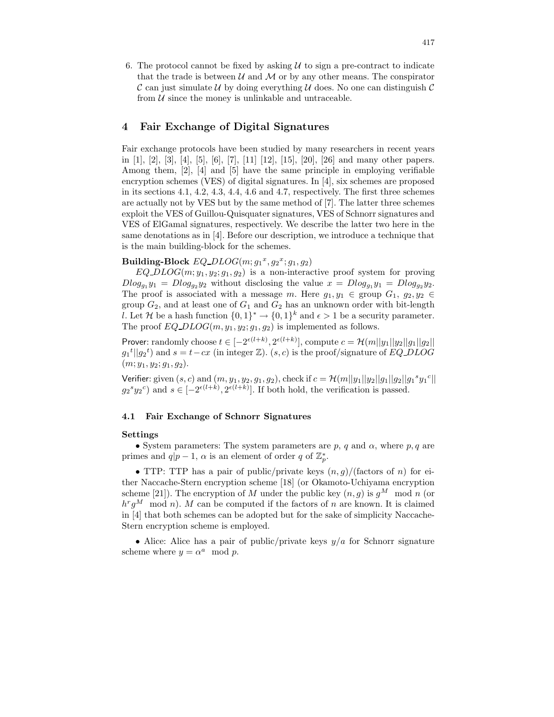6. The protocol cannot be fixed by asking  $\mathcal U$  to sign a pre-contract to indicate that the trade is between  $\mathcal U$  and  $\mathcal M$  or by any other means. The conspirator C can just simulate U by doing everything U does. No one can distinguish C from  $U$  since the money is unlinkable and untraceable.

# 4 Fair Exchange of Digital Signatures

Fair exchange protocols have been studied by many researchers in recent years in [1], [2], [3], [4], [5], [6], [7], [11] [12], [15], [20], [26] and many other papers. Among them, [2], [4] and [5] have the same principle in employing verifiable encryption schemes (VES) of digital signatures. In [4], six schemes are proposed in its sections 4.1, 4.2, 4.3, 4.4, 4.6 and 4.7, respectively. The first three schemes are actually not by VES but by the same method of [7]. The latter three schemes exploit the VES of Guillou-Quisquater signatures, VES of Schnorr signatures and VES of ElGamal signatures, respectively. We describe the latter two here in the same denotations as in [4]. Before our description, we introduce a technique that is the main building-block for the schemes.

# Building-Block  $EQ\_DLOG(m; g_1^x, g_2^x; g_1, g_2)$

 $EQ\_DLOG(m; y_1, y_2; g_1, g_2)$  is a non-interactive proof system for proving  $D\log_{q_1} y_1 = D\log_{q_2} y_2$  without disclosing the value  $x = D\log_{q_1} y_1 = D\log_{q_2} y_2$ . The proof is associated with a message m. Here  $g_1, y_1 \in \text{group } G_1, g_2, y_2 \in$ group  $G_2$ , and at least one of  $G_1$  and  $G_2$  has an unknown order with bit-length l. Let H be a hash function  $\{0,1\}^* \to \{0,1\}^k$  and  $\epsilon > 1$  be a security parameter. The proof  $EQ\_DLOG(m, y_1, y_2; g_1, g_2)$  is implemented as follows.

Prover: randomly choose  $t \in [-2^{\epsilon(l+k)}, 2^{\epsilon(l+k)}]$ , compute  $c = \mathcal{H}(m||y_1||y_2||g_1||g_2||$  $g_1^t||g_2^t$  and  $s = t - cx$  (in integer Z).  $(s, c)$  is the proof/signature of EQ DLOG  $(m; y_1, y_2; g_1, g_2).$ 

Verifier: given  $(s, c)$  and  $(m, y_1, y_2, g_1, g_2)$ , check if  $c = \mathcal{H}(m||y_1||y_2||g_1||g_2||g_1^sy_1^c||$  $g_2^sy_2^c$  and  $s \in [-2^{\epsilon(l+k)}, 2^{\epsilon(l+k)}]$ . If both hold, the verification is passed.

# 4.1 Fair Exchange of Schnorr Signatures

#### Settings

• System parameters: The system parameters are p, q and  $\alpha$ , where p, q are primes and  $q|p-1, \alpha$  is an element of order q of  $\mathbb{Z}_p^*$ .

• TTP: TTP has a pair of public/private keys  $(n, g)$ /(factors of n) for either Naccache-Stern encryption scheme [18] (or Okamoto-Uchiyama encryption scheme [21]). The encryption of M under the public key  $(n, g)$  is  $g^M \mod n$  (or  $h^r g^M$  mod n). M can be computed if the factors of n are known. It is claimed in [4] that both schemes can be adopted but for the sake of simplicity Naccache-Stern encryption scheme is employed.

• Alice: Alice has a pair of public/private keys  $y/a$  for Schnorr signature scheme where  $y = \alpha^a \mod p$ .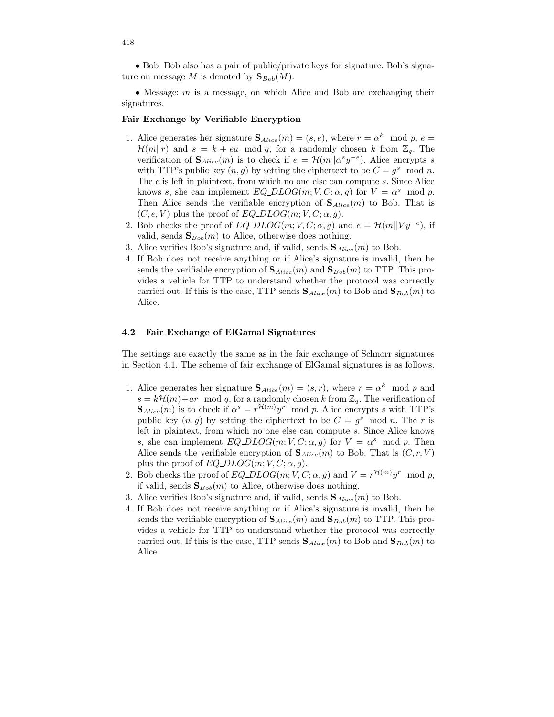• Bob: Bob also has a pair of public/private keys for signature. Bob's signature on message M is denoted by  $\mathbf{S}_{Bob}(M)$ .

• Message:  $m$  is a message, on which Alice and Bob are exchanging their signatures.

### Fair Exchange by Verifiable Encryption

- 1. Alice generates her signature  $\mathbf{S}_{Alice}(m) = (s, e)$ , where  $r = \alpha^k \mod p, e =$  $\mathcal{H}(m||r)$  and  $s = k + ea \mod q$ , for a randomly chosen k from  $\mathbb{Z}_q$ . The verification of  $\mathbf{S}_{Alice}(m)$  is to check if  $e = \mathcal{H}(m||\alpha^s y^{-e})$ . Alice encrypts s with TTP's public key  $(n, g)$  by setting the ciphertext to be  $C = g^s \mod n$ . The e is left in plaintext, from which no one else can compute s. Since Alice knows s, she can implement  $EQ\_DLOG(m; V, C; \alpha, g)$  for  $V = \alpha^s \mod p$ . Then Alice sends the verifiable encryption of  $\mathbf{S}_{Alice}(m)$  to Bob. That is  $(C, e, V)$  plus the proof of EQ\_DLOG $(m, V, C; \alpha, g)$ .
- 2. Bob checks the proof of  $EQ\_DLOG(m; V, C; \alpha, g)$  and  $e = \mathcal{H}(m||Vy^{-e})$ , if valid, sends  $\mathbf{S}_{Bob}(m)$  to Alice, otherwise does nothing.
- 3. Alice verifies Bob's signature and, if valid, sends  $\mathbf{S}_{Alice}(m)$  to Bob.
- 4. If Bob does not receive anything or if Alice's signature is invalid, then he sends the verifiable encryption of  $\mathbf{S}_{Alice}(m)$  and  $\mathbf{S}_{Bob}(m)$  to TTP. This provides a vehicle for TTP to understand whether the protocol was correctly carried out. If this is the case, TTP sends  $\mathbf{S}_{Alice}(m)$  to Bob and  $\mathbf{S}_{Bob}(m)$  to Alice.

### 4.2 Fair Exchange of ElGamal Signatures

The settings are exactly the same as in the fair exchange of Schnorr signatures in Section 4.1. The scheme of fair exchange of ElGamal signatures is as follows.

- 1. Alice generates her signature  $\mathbf{S}_{Alice}(m) = (s, r)$ , where  $r = \alpha^k \mod p$  and  $s = k\mathcal{H}(m) + ar \mod q$ , for a randomly chosen k from  $\mathbb{Z}_q$ . The verification of  $\mathbf{S}_{Alice}(m)$  is to check if  $\alpha^s = r^{\mathcal{H}(m)}y^r$  mod p. Alice encrypts s with TTP's public key  $(n, g)$  by setting the ciphertext to be  $C = g<sup>s</sup> \mod n$ . The r is left in plaintext, from which no one else can compute s. Since Alice knows s, she can implement  $EQ\_DLOG(m; V, C; \alpha, g)$  for  $V = \alpha^s \mod p$ . Then Alice sends the verifiable encryption of  $\mathbf{S}_{Alice}(m)$  to Bob. That is  $(C, r, V)$ plus the proof of  $EQ\_DLOG(m; V, C; \alpha, g)$ .
- 2. Bob checks the proof of  $EQ\_DLOG(m; V, C; \alpha, g)$  and  $V = r^{\mathcal{H}(m)}y^r \mod p$ , if valid, sends  $\mathbf{S}_{Bob}(m)$  to Alice, otherwise does nothing.
- 3. Alice verifies Bob's signature and, if valid, sends  $\mathbf{S}_{Alice}(m)$  to Bob.
- 4. If Bob does not receive anything or if Alice's signature is invalid, then he sends the verifiable encryption of  $\mathbf{S}_{Alice}(m)$  and  $\mathbf{S}_{Bob}(m)$  to TTP. This provides a vehicle for TTP to understand whether the protocol was correctly carried out. If this is the case, TTP sends  $\mathbf{S}_{Alice}(m)$  to Bob and  $\mathbf{S}_{Bob}(m)$  to Alice.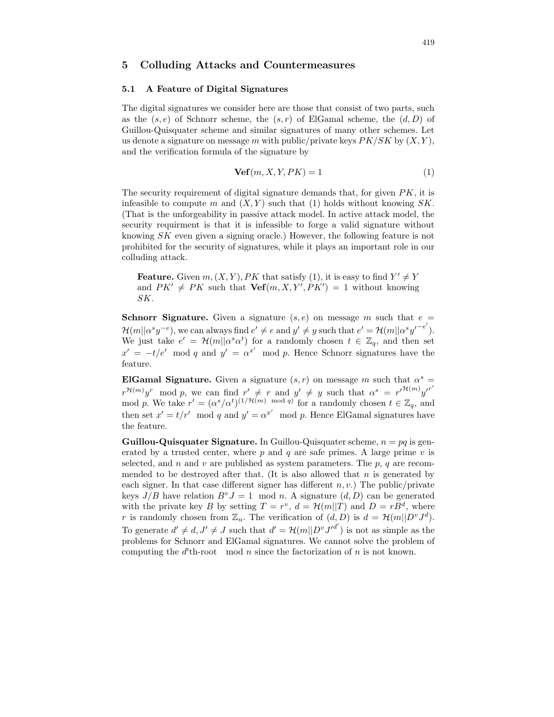# 5 Colluding Attacks and Countermeasures

# 5.1 A Feature of Digital Signatures

The digital signatures we consider here are those that consist of two parts, such as the  $(s, e)$  of Schnorr scheme, the  $(s, r)$  of ElGamal scheme, the  $(d, D)$  of Guillou-Quisquater scheme and similar signatures of many other schemes. Let us denote a signature on message m with public/private keys  $PK/SK$  by  $(X, Y)$ , and the verification formula of the signature by

$$
\mathbf{Vef}(m, X, Y, PK) = 1\tag{1}
$$

The security requirement of digital signature demands that, for given  $PK$ , it is infeasible to compute m and  $(X, Y)$  such that (1) holds without knowing SK. (That is the unforgeability in passive attack model. In active attack model, the security requirment is that it is infeasible to forge a valid signature without knowing SK even given a signing oracle.) However, the following feature is not prohibited for the security of signatures, while it plays an important role in our colluding attack.

**Feature.** Given  $m, (X, Y), PK$  that satisfy (1), it is easy to find  $Y' \neq Y$ and  $PK' \neq PK$  such that  $\text{Vef}(m, X, Y', PK') = 1$  without knowing SK.

**Schnorr Signature.** Given a signature  $(s, e)$  on message m such that  $e =$  $\mathcal{H}(m||\alpha^sy^{-e}),$  we can always find  $e' \neq e$  and  $y' \neq y$  such that  $e' = \mathcal{H}(m||\alpha^sy'^{-e'}).$ We just take  $e' = \mathcal{H}(m||\alpha^s \alpha^t)$  for a randomly chosen  $t \in \mathbb{Z}_q$ , and then set  $x' = -t/e' \mod q$  and  $y' = \alpha^{x'} \mod p$ . Hence Schnorr signatures have the feature.

ElGamal Signature. Given a signature  $(s, r)$  on message m such that  $\alpha^s =$  $r^{\mathcal{H}(m)}y^r$  mod p, we can find  $r' \neq r$  and  $y' \neq y$  such that  $\alpha^s = r'^{\mathcal{H}(m)}y'^{r'}$ mod p. We take  $r' = (\alpha^s / \alpha^t)^{(1 / H(m) \mod q)}$  for a randomly chosen  $t \in \mathbb{Z}_q$ , and then set  $x' = t/r' \mod q$  and  $y' = \alpha^{x'} \mod p$ . Hence ElGamal signatures have the feature.

**Guillou-Quisquater Signature.** In Guillou-Quisquater scheme,  $n = pq$  is generated by a trusted center, where  $p$  and  $q$  are safe primes. A large prime  $v$  is selected, and n and v are published as system parameters. The  $p$ , q are recommended to be destroyed after that. (It is also allowed that  $n$  is generated by each signer. In that case different signer has different  $n, v$ .) The public/private keys  $J/B$  have relation  $B^vJ = 1 \mod n$ . A signature  $(d, D)$  can be generated with the private key B by setting  $T = r^v$ ,  $d = \mathcal{H}(m||T)$  and  $D = rB^d$ , where r is randomly chosen from  $\mathbb{Z}_n$ . The verification of  $(d, D)$  is  $d = \mathcal{H}(m||D^vJ^d)$ . To generate  $d' \neq d, J' \neq J$  such that  $d' = \mathcal{H}(m||D^v J'^{d'})$  is not as simple as the problems for Schnorr and ElGamal signatures. We cannot solve the problem of computing the  $d'$ th-root mod n since the factorization of n is not known.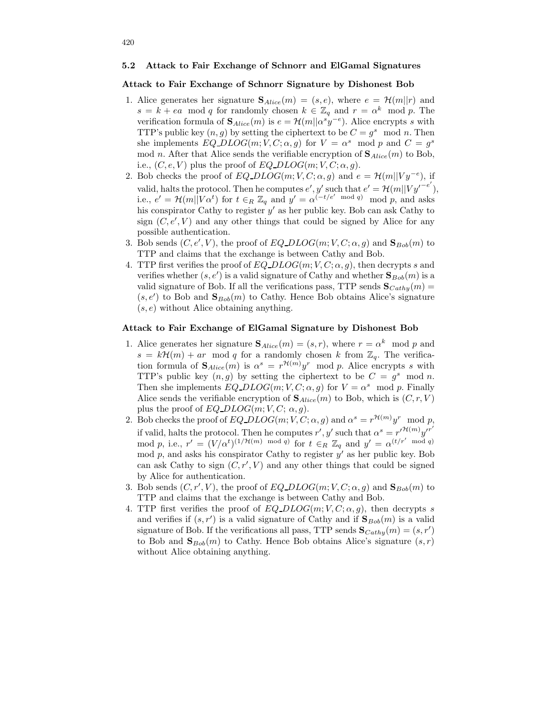#### 5.2 Attack to Fair Exchange of Schnorr and ElGamal Signatures

### Attack to Fair Exchange of Schnorr Signature by Dishonest Bob

- 1. Alice generates her signature  $\mathbf{S}_{Alice}(m) = (s, e)$ , where  $e = \mathcal{H}(m||r)$  and  $s = k + ea \mod q$  for randomly chosen  $k \in \mathbb{Z}_q$  and  $r = \alpha^k \mod p$ . The verification formula of  $\mathbf{S}_{Alice}(m)$  is  $e = \mathcal{H}(m||\alpha^s y^{-e})$ . Alice encrypts s with TTP's public key  $(n, g)$  by setting the ciphertext to be  $C = g<sup>s</sup> \mod n$ . Then she implements  $EQ\_DLOG(m; V, C; \alpha, g)$  for  $V = \alpha^s \mod p$  and  $C = g^s$ mod n. After that Alice sends the verifiable encryption of  ${\bf S}_{Alice}(m)$  to Bob, i.e.,  $(C, e, V)$  plus the proof of EQ DLOG $(m, V, C; \alpha, g)$ .
- 2. Bob checks the proof of  $EQ\_DLOG(m; V, C; \alpha, g)$  and  $e = \mathcal{H}(m||Vy^{-e})$ , if valid, halts the protocol. Then he computes  $e', y'$  such that  $e' = \mathcal{H}(m||Vy'^{-e'}),$ i.e.,  $e' = \mathcal{H}(m||V\alpha^t)$  for  $t \in_R \mathbb{Z}_q$  and  $y' = \alpha^{(-t/e' \mod q)} \mod p$ , and asks his conspirator Cathy to register  $y'$  as her public key. Bob can ask Cathy to sign  $(C, e', V)$  and any other things that could be signed by Alice for any possible authentication.
- 3. Bob sends  $(C, e', V)$ , the proof of  $EQ\_DLOG(m; V, C; \alpha, g)$  and  $\mathbf{S}_{Bob}(m)$  to TTP and claims that the exchange is between Cathy and Bob.
- 4. TTP first verifies the proof of  $EQ\_DLOG(m; V, C; \alpha, g)$ , then decrypts s and verifies whether  $(s, e')$  is a valid signature of Cathy and whether  $\mathbf{S}_{Bob}(m)$  is a valid signature of Bob. If all the verifications pass, TTP sends  ${\bf S}_{Cath}(m)$  =  $(s, e')$  to Bob and  $\mathbf{S}_{Bob}(m)$  to Cathy. Hence Bob obtains Alice's signature  $(s, e)$  without Alice obtaining anything.

# Attack to Fair Exchange of ElGamal Signature by Dishonest Bob

- 1. Alice generates her signature  $\mathbf{S}_{Alice}(m) = (s, r)$ , where  $r = \alpha^k \mod p$  and  $s = k\mathcal{H}(m) + ar \mod q$  for a randomly chosen k from  $\mathbb{Z}_q$ . The verification formula of  $\mathbf{S}_{Alice}(m)$  is  $\alpha^s = r^{\mathcal{H}(m)}y^r \mod p$ . Alice encrypts s with TTP's public key  $(n, g)$  by setting the ciphertext to be  $C = g^s \mod n$ . Then she implements  $EQ\_DLOG(m; V, C; \alpha, g)$  for  $V = \alpha^s \mod p$ . Finally Alice sends the verifiable encryption of  $\mathbf{S}_{Alice}(m)$  to Bob, which is  $(C, r, V)$ plus the proof of  $EQ\_DLOG(m; V, C; \alpha, g)$ .
- 2. Bob checks the proof of  $EQ\_DLOG(m; V, C; \alpha, g)$  and  $\alpha^s = r^{\mathcal{H}(m)}y^r \mod p$ , if valid, halts the protocol. Then he computes r', y' such that  $\alpha^s = {r'}^{\mathcal{H}(m)}{y'}^{r'}$ mod p, i.e.,  $r' = (V/\alpha^t)^{(1/\mathcal{H}(m) \mod q)}$  for  $t \in_R \mathbb{Z}_q$  and  $y' = \alpha^{(t/r' \mod q)}$ mod p, and asks his conspirator Cathy to register  $y'$  as her public key. Bob can ask Cathy to sign  $(C, r', V)$  and any other things that could be signed by Alice for authentication.
- 3. Bob sends  $(C, r', V)$ , the proof of  $EQ\_DLOG(m; V, C; \alpha, g)$  and  $\mathbf{S}_{Bob}(m)$  to TTP and claims that the exchange is between Cathy and Bob.
- 4. TTP first verifies the proof of  $EQ\_DLOG(m; V, C; \alpha, q)$ , then decrypts s and verifies if  $(s, r')$  is a valid signature of Cathy and if  $\mathbf{S}_{Bob}(m)$  is a valid signature of Bob. If the verifications all pass, TTP sends  ${\bf S}_{Cathy}(m) = (s, r')$ to Bob and  $\mathbf{S}_{Bob}(m)$  to Cathy. Hence Bob obtains Alice's signature  $(s, r)$ without Alice obtaining anything.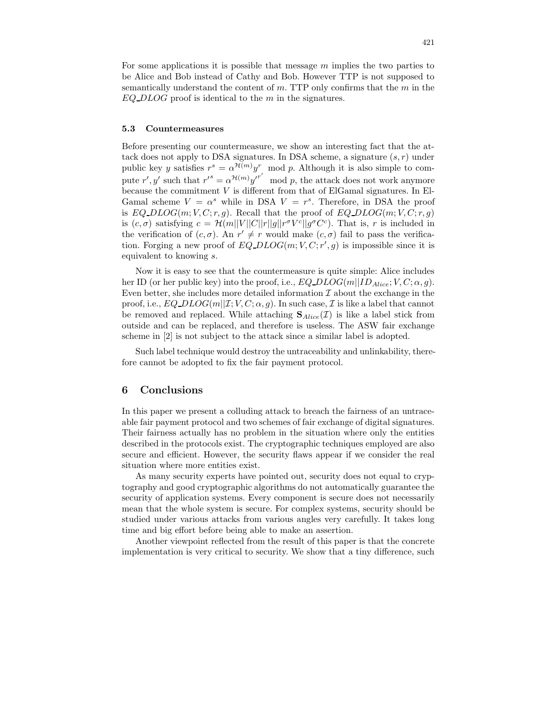For some applications it is possible that message  $m$  implies the two parties to be Alice and Bob instead of Cathy and Bob. However TTP is not supposed to semantically understand the content of  $m$ . TTP only confirms that the  $m$  in the  $EQ\_DLOG$  proof is identical to the m in the signatures.

### 5.3 Countermeasures

Before presenting our countermeasure, we show an interesting fact that the attack does not apply to DSA signatures. In DSA scheme, a signature  $(s, r)$  under public key y satisfies  $r^s = \alpha^{\mathcal{H}(m)} y^r \mod p$ . Although it is also simple to compute r', y' such that  $r'^s = \alpha^{\mathcal{H}(m)} y^{r'}$  mod p, the attack does not work anymore because the commitment V is different from that of ElGamal signatures. In El-Gamal scheme  $V = \alpha^s$  while in DSA  $V = r^s$ . Therefore, in DSA the proof is EQ  $DLOG(m; V, C; r, g)$ . Recall that the proof of EQ  $DLOG(m; V, C; r, g)$ is  $(c, \sigma)$  satisfying  $c = \mathcal{H}(m||V||C||r||g||r^{\sigma}V^{c}||g^{\sigma}C^{c})$ . That is, r is included in the verification of  $(c, \sigma)$ . An  $r' \neq r$  would make  $(c, \sigma)$  fail to pass the verification. Forging a new proof of  $EQ\_DLOG(m;V,C;r',g)$  is impossible since it is equivalent to knowing s.

Now it is easy to see that the countermeasure is quite simple: Alice includes her ID (or her public key) into the proof, i.e.,  $EQ\_DLOG(m||ID_{Alice}; V, C; \alpha, g)$ . Even better, she includes more detailed information  $\mathcal I$  about the exchange in the proof, i.e.,  $EQ\_DLOG(m||\mathcal{I}; V, C; \alpha, g)$ . In such case,  $\mathcal{I}$  is like a label that cannot be removed and replaced. While attaching  $S_{Alice}(\mathcal{I})$  is like a label stick from outside and can be replaced, and therefore is useless. The ASW fair exchange scheme in [2] is not subject to the attack since a similar label is adopted.

Such label technique would destroy the untraceability and unlinkability, therefore cannot be adopted to fix the fair payment protocol.

### 6 Conclusions

In this paper we present a colluding attack to breach the fairness of an untraceable fair payment protocol and two schemes of fair exchange of digital signatures. Their fairness actually has no problem in the situation where only the entities described in the protocols exist. The cryptographic techniques employed are also secure and efficient. However, the security flaws appear if we consider the real situation where more entities exist.

As many security experts have pointed out, security does not equal to cryptography and good cryptographic algorithms do not automatically guarantee the security of application systems. Every component is secure does not necessarily mean that the whole system is secure. For complex systems, security should be studied under various attacks from various angles very carefully. It takes long time and big effort before being able to make an assertion.

Another viewpoint reflected from the result of this paper is that the concrete implementation is very critical to security. We show that a tiny difference, such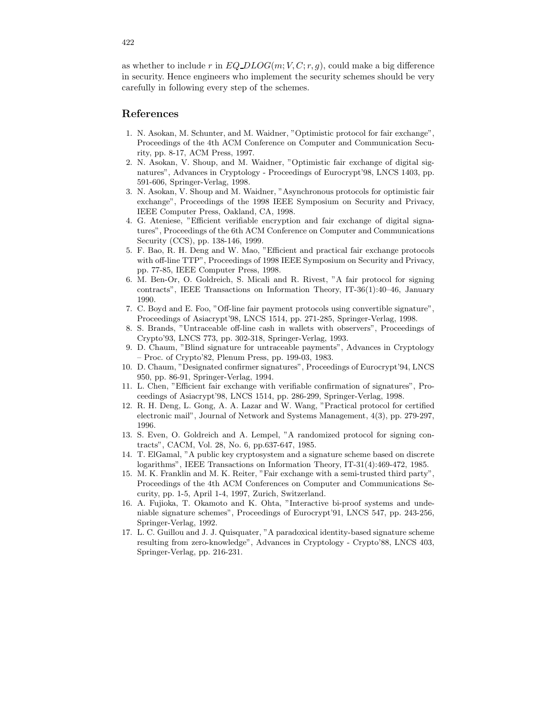as whether to include r in  $EQ\_DLOG(m; V, C; r, g)$ , could make a big difference in security. Hence engineers who implement the security schemes should be very carefully in following every step of the schemes.

# References

- 1. N. Asokan, M. Schunter, and M. Waidner, "Optimistic protocol for fair exchange", Proceedings of the 4th ACM Conference on Computer and Communication Security, pp. 8-17, ACM Press, 1997.
- 2. N. Asokan, V. Shoup, and M. Waidner, "Optimistic fair exchange of digital signatures", Advances in Cryptology - Proceedings of Eurocrypt'98, LNCS 1403, pp. 591-606, Springer-Verlag, 1998.
- 3. N. Asokan, V. Shoup and M. Waidner, "Asynchronous protocols for optimistic fair exchange", Proceedings of the 1998 IEEE Symposium on Security and Privacy, IEEE Computer Press, Oakland, CA, 1998.
- 4. G. Ateniese, "Efficient verifiable encryption and fair exchange of digital signatures", Proceedings of the 6th ACM Conference on Computer and Communications Security (CCS), pp. 138-146, 1999.
- 5. F. Bao, R. H. Deng and W. Mao, "Efficient and practical fair exchange protocols with off-line TTP", Proceedings of 1998 IEEE Symposium on Security and Privacy, pp. 77-85, IEEE Computer Press, 1998.
- 6. M. Ben-Or, O. Goldreich, S. Micali and R. Rivest, "A fair protocol for signing contracts", IEEE Transactions on Information Theory, IT-36(1):40–46, January 1990.
- 7. C. Boyd and E. Foo, "Off-line fair payment protocols using convertible signature", Proceedings of Asiacrypt'98, LNCS 1514, pp. 271-285, Springer-Verlag, 1998.
- 8. S. Brands, "Untraceable off-line cash in wallets with observers", Proceedings of Crypto'93, LNCS 773, pp. 302-318, Springer-Verlag, 1993.
- 9. D. Chaum, "Blind signature for untraceable payments", Advances in Cryptology – Proc. of Crypto'82, Plenum Press, pp. 199-03, 1983.
- 10. D. Chaum, "Designated confirmer signatures", Proceedings of Eurocrypt'94, LNCS 950, pp. 86-91, Springer-Verlag, 1994.
- 11. L. Chen, "Efficient fair exchange with verifiable confirmation of signatures", Proceedings of Asiacrypt'98, LNCS 1514, pp. 286-299, Springer-Verlag, 1998.
- 12. R. H. Deng, L. Gong, A. A. Lazar and W. Wang, "Practical protocol for certified electronic mail", Journal of Network and Systems Management, 4(3), pp. 279-297, 1996.
- 13. S. Even, O. Goldreich and A. Lempel, "A randomized protocol for signing contracts", CACM, Vol. 28, No. 6, pp.637-647, 1985.
- 14. T. ElGamal, "A public key cryptosystem and a signature scheme based on discrete logarithms", IEEE Transactions on Information Theory, IT-31(4):469-472, 1985.
- 15. M. K. Franklin and M. K. Reiter, "Fair exchange with a semi-trusted third party", Proceedings of the 4th ACM Conferences on Computer and Communications Security, pp. 1-5, April 1-4, 1997, Zurich, Switzerland.
- 16. A. Fujioka, T. Okamoto and K. Ohta, "Interactive bi-proof systems and undeniable signature schemes", Proceedings of Eurocrypt'91, LNCS 547, pp. 243-256, Springer-Verlag, 1992.
- 17. L. C. Guillou and J. J. Quisquater, "A paradoxical identity-based signature scheme resulting from zero-knowledge", Advances in Cryptology - Crypto'88, LNCS 403, Springer-Verlag, pp. 216-231.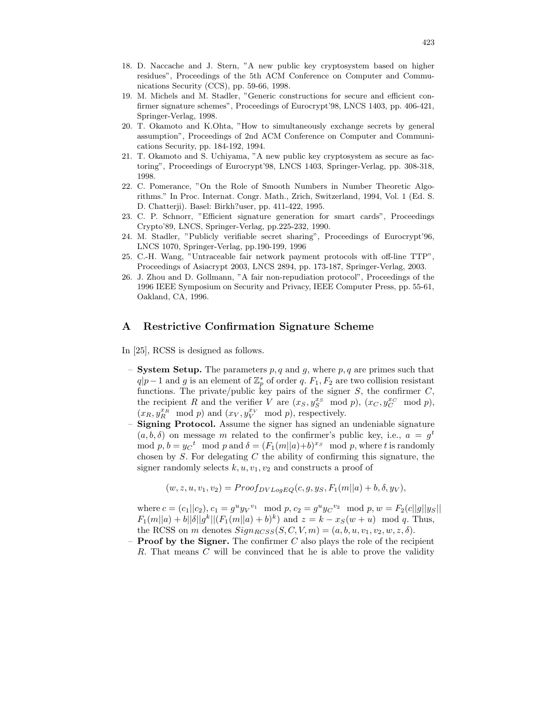- 18. D. Naccache and J. Stern, "A new public key cryptosystem based on higher residues", Proceedings of the 5th ACM Conference on Computer and Communications Security (CCS), pp. 59-66, 1998.
- 19. M. Michels and M. Stadler, "Generic constructions for secure and efficient confirmer signature schemes", Proceedings of Eurocrypt'98, LNCS 1403, pp. 406-421, Springer-Verlag, 1998.
- 20. T. Okamoto and K.Ohta, "How to simultaneously exchange secrets by general assumption", Proceedings of 2nd ACM Conference on Computer and Communications Security, pp. 184-192, 1994.
- 21. T. Okamoto and S. Uchiyama, "A new public key cryptosystem as secure as factoring", Proceedings of Eurocrypt'98, LNCS 1403, Springer-Verlag, pp. 308-318, 1998.
- 22. C. Pomerance, "On the Role of Smooth Numbers in Number Theoretic Algorithms." In Proc. Internat. Congr. Math., Zrich, Switzerland, 1994, Vol. 1 (Ed. S. D. Chatterji). Basel: Birkh?user, pp. 411-422, 1995.
- 23. C. P. Schnorr, "Efficient signature generation for smart cards", Proceedings Crypto'89, LNCS, Springer-Verlag, pp.225-232, 1990.
- 24. M. Stadler, "Publicly verifiable secret sharing", Proceedings of Eurocrypt'96, LNCS 1070, Springer-Verlag, pp.190-199, 1996
- 25. C.-H. Wang, "Untraceable fair network payment protocols with off-line TTP", Proceedings of Asiacrypt 2003, LNCS 2894, pp. 173-187, Springer-Verlag, 2003.
- 26. J. Zhou and D. Gollmann, "A fair non-repudiation protocol", Proceedings of the 1996 IEEE Symposium on Security and Privacy, IEEE Computer Press, pp. 55-61, Oakland, CA, 1996.

# A Restrictive Confirmation Signature Scheme

In [25], RCSS is designed as follows.

- **System Setup.** The parameters p, q and q, where p, q are primes such that  $q|p-1$  and g is an element of  $\mathbb{Z}_p^*$  of order q.  $F_1, F_2$  are two collision resistant functions. The private/public key pairs of the signer  $S$ , the confirmer  $C$ , the recipient R and the verifier V are  $(x_S, y_S^{x_S} \mod p)$ ,  $(x_C, y_C^{x_C} \mod p)$ ,  $(x_R, y_R^{x_R} \mod p)$  and  $(x_V, y_V^{x_V} \mod p)$ , respectively.
- Signing Protocol. Assume the signer has signed an undeniable signature  $(a, b, \delta)$  on message m related to the confirmer's public key, i.e.,  $a = g^t$ mod  $p, b = yC^t \mod p$  and  $\delta = (F_1(m||a)+b)^{x_S} \mod p$ , where t is randomly chosen by  $S$ . For delegating  $C$  the ability of confirming this signature, the signer randomly selects  $k, u, v_1, v_2$  and constructs a proof of

$$
(w, z, u, v_1, v_2) = Proof_{DVLogEQ}(c, g, y_S, F_1(m||a) + b, \delta, y_V),
$$

where  $c = (c_1||c_2), c_1 = g^uy_V^{v_1} \mod p, c_2 = g^uy_C^{v_2} \mod p, w = F_2(c||g||y_S||)$  $F_1(m||a) + b||\delta||g^k|| (F_1(m||a) + b)^k)$  and  $z = k - x_S(w + u) \mod q$ . Thus, the RCSS on m denotes  $Sign_{RCSS}(S, C, V, m) = (a, b, u, v_1, v_2, w, z, \delta).$ 

– **Proof by the Signer.** The confirmer  $C$  also plays the role of the recipient R. That means C will be convinced that he is able to prove the validity